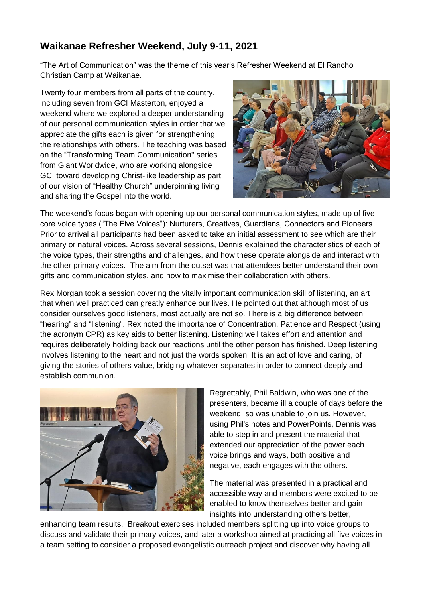## **Waikanae Refresher Weekend, July 9-11, 2021**

"The Art of Communication" was the theme of this year's Refresher Weekend at El Rancho Christian Camp at Waikanae.

Twenty four members from all parts of the country, including seven from GCI Masterton, enjoyed a weekend where we explored a deeper understanding of our personal communication styles in order that we appreciate the gifts each is given for strengthening the relationships with others. The teaching was based on the "Transforming Team Communication'' series from Giant Worldwide, who are working alongside GCI toward developing Christ-like leadership as part of our vision of "Healthy Church" underpinning living and sharing the Gospel into the world.



The weekend's focus began with opening up our personal communication styles, made up of five core voice types ("The Five Voices"): Nurturers, Creatives, Guardians, Connectors and Pioneers. Prior to arrival all participants had been asked to take an initial assessment to see which are their primary or natural voices. Across several sessions, Dennis explained the characteristics of each of the voice types, their strengths and challenges, and how these operate alongside and interact with the other primary voices. The aim from the outset was that attendees better understand their own gifts and communication styles, and how to maximise their collaboration with others.

Rex Morgan took a session covering the vitally important communication skill of listening, an art that when well practiced can greatly enhance our lives. He pointed out that although most of us consider ourselves good listeners, most actually are not so. There is a big difference between "hearing" and "listening". Rex noted the importance of Concentration, Patience and Respect (using the acronym CPR) as key aids to better listening. Listening well takes effort and attention and requires deliberately holding back our reactions until the other person has finished. Deep listening involves listening to the heart and not just the words spoken. It is an act of love and caring, of giving the stories of others value, bridging whatever separates in order to connect deeply and establish communion.



Regrettably, Phil Baldwin, who was one of the presenters, became ill a couple of days before the weekend, so was unable to join us. However, using Phil's notes and PowerPoints, Dennis was able to step in and present the material that extended our appreciation of the power each voice brings and ways, both positive and negative, each engages with the others.

The material was presented in a practical and accessible way and members were excited to be enabled to know themselves better and gain insights into understanding others better,

enhancing team results. Breakout exercises included members splitting up into voice groups to discuss and validate their primary voices, and later a workshop aimed at practicing all five voices in a team setting to consider a proposed evangelistic outreach project and discover why having all